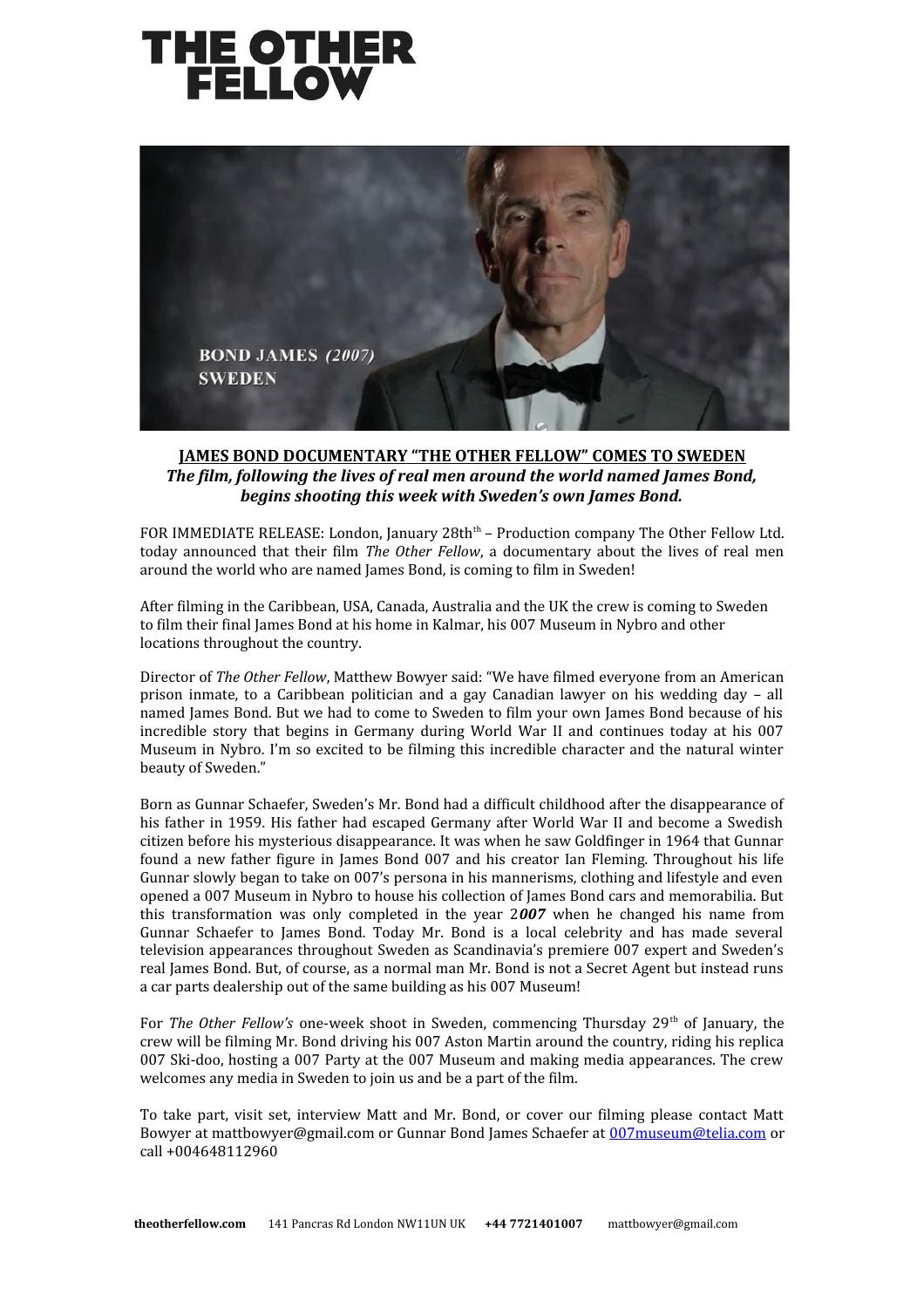



## **JAMES BOND DOCUMENTARY "THE OTHER FELLOW" COMES TO SWEDEN** *The film, following the lives of real men around the world named James Bond, begins shooting this week with Sweden's own James Bond.*

FOR IMMEDIATE RELEASE: London, January 28th<sup>th</sup> – Production company The Other Fellow Ltd. today announced that their film *The Other Fellow*, a documentary about the lives of real men around the world who are named James Bond, is coming to film in Sweden!

After filming in the Caribbean, USA, Canada, Australia and the UK the crew is coming to Sweden to film their final James Bond at his home in Kalmar, his 007 Museum in Nybro and other locations throughout the country.

Director of *The Other Fellow*, Matthew Bowyer said: "We have filmed everyone from an American prison inmate, to a Caribbean politician and a gay Canadian lawyer on his wedding day – all named James Bond. But we had to come to Sweden to film your own James Bond because of his incredible story that begins in Germany during World War II and continues today at his 007 Museum in Nybro. I'm so excited to be filming this incredible character and the natural winter beauty of Sweden."

Born as Gunnar Schaefer, Sweden's Mr. Bond had a difficult childhood after the disappearance of his father in 1959. His father had escaped Germany after World War II and become a Swedish citizen before his mysterious disappearance. It was when he saw Goldfinger in 1964 that Gunnar found a new father figure in James Bond 007 and his creator Ian Fleming. Throughout his life Gunnar slowly began to take on 007's persona in his mannerisms, clothing and lifestyle and even opened a 007 Museum in Nybro to house his collection of James Bond cars and memorabilia. But this transformation was only completed in the year 2*007* when he changed his name from Gunnar Schaefer to James Bond. Today Mr. Bond is a local celebrity and has made several television appearances throughout Sweden as Scandinavia's premiere 007 expert and Sweden's real James Bond. But, of course, as a normal man Mr. Bond is not a Secret Agent but instead runs a car parts dealership out of the same building as his 007 Museum!

For *The Other Fellow's* one-week shoot in Sweden, commencing Thursday 29<sup>th</sup> of January, the crew will be filming Mr. Bond driving his 007 Aston Martin around the country, riding his replica 007 Ski-doo, hosting a 007 Party at the 007 Museum and making media appearances. The crew welcomes any media in Sweden to join us and be a part of the film.

To take part, visit set, interview Matt and Mr. Bond, or cover our filming please contact Matt Bowyer at mattbowyer@gmail.com or Gunnar Bond James Schaefer at [007museum@telia.com](mailto:007museum@telia.com) or call +004648112960